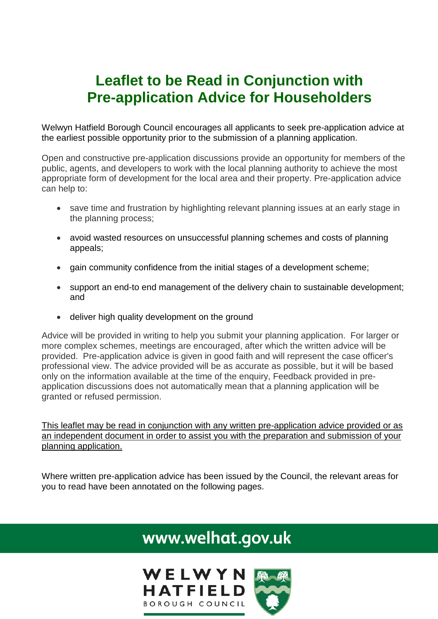# **Leaflet to be Read in Conjunction with Pre-application Advice for Householders**

Welwyn Hatfield Borough Council encourages all applicants to seek pre-application advice at the earliest possible opportunity prior to the submission of a planning application.

Open and constructive pre-application discussions provide an opportunity for members of the public, agents, and developers to work with the local planning authority to achieve the most appropriate form of development for the local area and their property. Pre-application advice can help to:

- save time and frustration by highlighting relevant planning issues at an early stage in the planning process;
- avoid wasted resources on unsuccessful planning schemes and costs of planning appeals;
- gain community confidence from the initial stages of a development scheme;
- support an end-to end management of the delivery chain to sustainable development; and
- deliver high quality development on the ground

Advice will be provided in writing to help you submit your planning application. For larger or more complex schemes, meetings are encouraged, after which the written advice will be provided. Pre-application advice is given in good faith and will represent the case officer's professional view. The advice provided will be as accurate as possible, but it will be based only on the information available at the time of the enquiry, Feedback provided in preapplication discussions does not automatically mean that a planning application will be granted or refused permission.

This leaflet may be read in conjunction with any written pre-application advice provided or as an independent document in order to assist you with the preparation and submission of your planning application.

Where written pre-application advice has been issued by the Council, the relevant areas for you to read have been annotated on the following pages.

# www.welhat.gov.uk

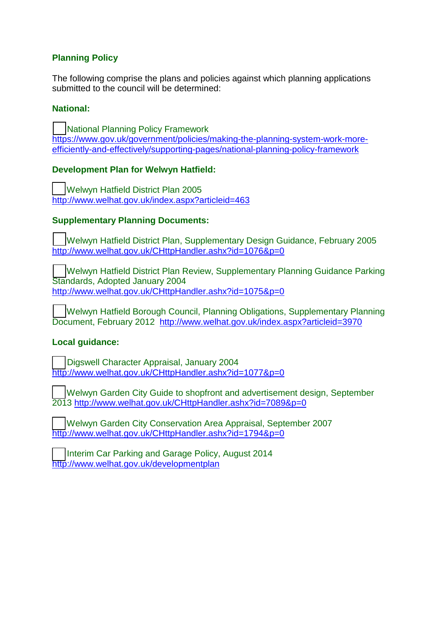## **Planning Policy**

The following comprise the plans and policies against which planning applications submitted to the council will be determined:

### **National:**

 National Planning Policy Framework [https://www.gov.uk/government/policies/making-the-planning-system-work-more](https://www.gov.uk/government/policies/making-the-planning-system-work-more-efficiently-and-effectively/supporting-pages/national-planning-policy-framework)[efficiently-and-effectively/supporting-pages/national-planning-policy-framework](https://www.gov.uk/government/policies/making-the-planning-system-work-more-efficiently-and-effectively/supporting-pages/national-planning-policy-framework)

### **Development Plan for Welwyn Hatfield:**

 Welwyn Hatfield District Plan 2005 <http://www.welhat.gov.uk/index.aspx?articleid=463>

### **Supplementary Planning Documents:**

 Welwyn Hatfield District Plan, Supplementary Design Guidance, February 2005 <http://www.welhat.gov.uk/CHttpHandler.ashx?id=1076&p=0>

 Welwyn Hatfield District Plan Review, Supplementary Planning Guidance Parking Standards, Adopted January 2004 <http://www.welhat.gov.uk/CHttpHandler.ashx?id=1075&p=0>

 Welwyn Hatfield Borough Council, Planning Obligations, Supplementary Planning Document, February 2012 <http://www.welhat.gov.uk/index.aspx?articleid=3970>

#### **Local guidance:**

 Digswell Character Appraisal, January 2004 <http://www.welhat.gov.uk/CHttpHandler.ashx?id=1077&p=0>

 Welwyn Garden City Guide to shopfront and advertisement design, September 2013<http://www.welhat.gov.uk/CHttpHandler.ashx?id=7089&p=0>

 Welwyn Garden City Conservation Area Appraisal, September 2007 <http://www.welhat.gov.uk/CHttpHandler.ashx?id=1794&p=0>

 Interim Car Parking and Garage Policy, August 2014 <http://www.welhat.gov.uk/developmentplan>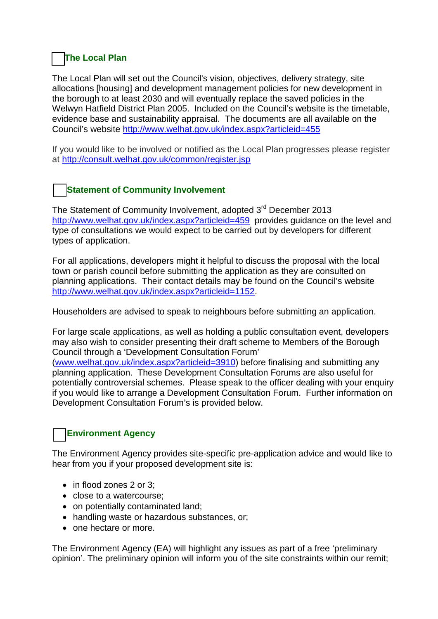# **The Local Plan**

The Local Plan will set out the Council's vision, objectives, delivery strategy, site allocations [housing] and development management policies for new development in the borough to at least 2030 and will eventually replace the saved policies in the Welwyn Hatfield District Plan 2005. Included on the Council's website is the timetable, evidence base and sustainability appraisal. The documents are all available on the Council's website<http://www.welhat.gov.uk/index.aspx?articleid=455>

If you would like to be involved or notified as the Local Plan progresses please register at<http://consult.welhat.gov.uk/common/register.jsp>

# **Statement of Community Involvement**

The Statement of Community Involvement, adopted 3<sup>rd</sup> December 2013 <http://www.welhat.gov.uk/index.aspx?articleid=459>provides guidance on the level and type of consultations we would expect to be carried out by developers for different types of application.

For all applications, developers might it helpful to discuss the proposal with the local town or parish council before submitting the application as they are consulted on planning applications. Their contact details may be found on the Council's website [http://www.welhat.gov.uk/index.aspx?articleid=1152.](http://www.welhat.gov.uk/index.aspx?articleid=1152)

Householders are advised to speak to neighbours before submitting an application.

For large scale applications, as well as holding a public consultation event, developers may also wish to consider presenting their draft scheme to Members of the Borough Council through a 'Development Consultation Forum'

[\(www.welhat.gov.uk/index.aspx?articleid=3910\)](http://www.welhat.gov.uk/index.aspx?articleid=3910) before finalising and submitting any planning application. These Development Consultation Forums are also useful for potentially controversial schemes. Please speak to the officer dealing with your enquiry if you would like to arrange a Development Consultation Forum. Further information on Development Consultation Forum's is provided below.

# **Environment Agency**

The Environment Agency provides site-specific pre-application advice and would like to hear from you if your proposed development site is:

- in flood zones 2 or 3:
- close to a watercourse;
- on potentially contaminated land;
- handling waste or hazardous substances, or;
- one hectare or more.

The Environment Agency (EA) will highlight any issues as part of a free 'preliminary opinion'. The preliminary opinion will inform you of the site constraints within our remit;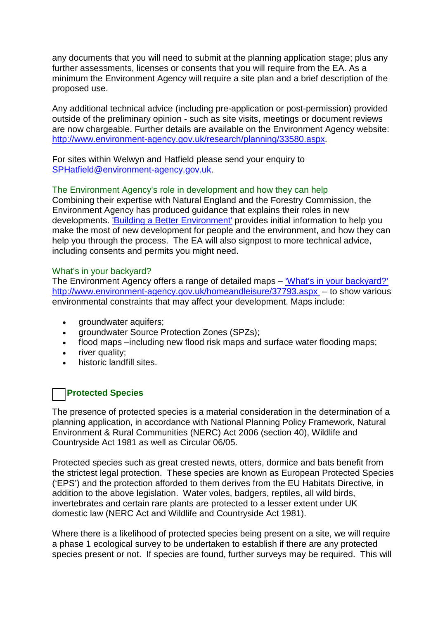any documents that you will need to submit at the planning application stage; plus any further assessments, licenses or consents that you will require from the EA. As a minimum the Environment Agency will require a site plan and a brief description of the proposed use.

Any additional technical advice (including pre-application or post-permission) provided outside of the preliminary opinion - such as site visits, meetings or document reviews are now chargeable. Further details are available on the Environment Agency website: [http://www.environment-agency.gov.uk/research/planning/33580.aspx.](http://www.environment-agency.gov.uk/research/planning/33580.aspx)

For sites within Welwyn and Hatfield please send your enquiry to [SPHatfield@environment-agency.gov.uk.](mailto:SPHatfield@environment-agency.gov.uk)

#### The Environment Agency's role in development and how they can help

Combining their expertise with Natural England and the Forestry Commission, the Environment Agency has produced guidance that explains their roles in new developments. ['Building a Better Environment'](http://www.environment-agency.gov.uk/research/planning/147852.aspx) provides initial information to help you make the most of new development for people and the environment, and how they can help you through the process. The EA will also signpost to more technical advice, including consents and permits you might need.

#### What's in your backyard?

The Environment Agency offers a range of detailed maps – ['What's in your backyard?'](http://www.environment-agency.gov.uk/homeandleisure/37793.aspx) <http://www.environment-agency.gov.uk/homeandleisure/37793.aspx> – to show various environmental constraints that may affect your development. Maps include:

- groundwater aquifers;
- groundwater Source Protection Zones (SPZs);
- flood maps –including new flood risk maps and surface water flooding maps;
- river quality;
- historic landfill sites.

## **Protected Species**

The presence of protected species is a material consideration in the determination of a planning application, in accordance with National Planning Policy Framework, Natural Environment & Rural Communities (NERC) Act 2006 (section 40), Wildlife and Countryside Act 1981 as well as Circular 06/05.

Protected species such as great crested newts, otters, dormice and bats benefit from the strictest legal protection. These species are known as European Protected Species ('EPS') and the protection afforded to them derives from the EU Habitats Directive, in addition to the above legislation. Water voles, badgers, reptiles, all wild birds, invertebrates and certain rare plants are protected to a lesser extent under UK domestic law (NERC Act and Wildlife and Countryside Act 1981).

Where there is a likelihood of protected species being present on a site, we will require a phase 1 ecological survey to be undertaken to establish if there are any protected species present or not. If species are found, further surveys may be required. This will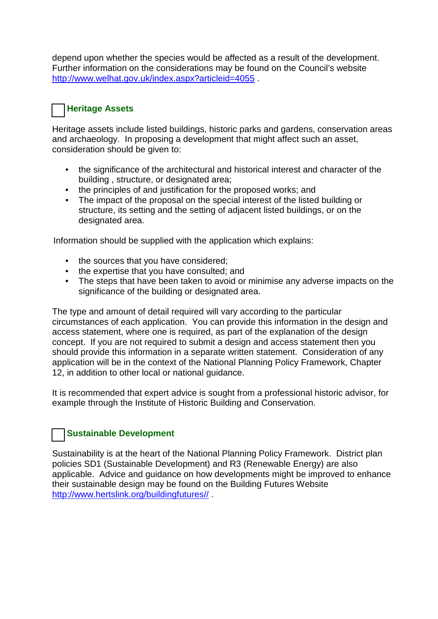depend upon whether the species would be affected as a result of the development. Further information on the considerations may be found on the Council's website <http://www.welhat.gov.uk/index.aspx?articleid=4055>

## **Heritage Assets**

Heritage assets include listed buildings, historic parks and gardens, conservation areas and archaeology. In proposing a development that might affect such an asset, consideration should be given to:

- the significance of the architectural and historical interest and character of the building , structure, or designated area;
- the principles of and justification for the proposed works; and
- The impact of the proposal on the special interest of the listed building or structure, its setting and the setting of adjacent listed buildings, or on the designated area.

Information should be supplied with the application which explains:

- the sources that you have considered;
- the expertise that you have consulted; and
- The steps that have been taken to avoid or minimise any adverse impacts on the significance of the building or designated area.

The type and amount of detail required will vary according to the particular circumstances of each application. You can provide this information in the design and access statement, where one is required, as part of the explanation of the design concept. If you are not required to submit a design and access statement then you should provide this information in a separate written statement. Consideration of any application will be in the context of the National Planning Policy Framework, Chapter 12, in addition to other local or national guidance.

It is recommended that expert advice is sought from a professional historic advisor, for example through the Institute of Historic Building and Conservation.

## **Sustainable Development**

Sustainability is at the heart of the National Planning Policy Framework. District plan policies SD1 (Sustainable Development) and R3 (Renewable Energy) are also applicable. Advice and guidance on how developments might be improved to enhance their sustainable design may be found on the Building Futures Website [http://www.hertslink.org/buildingfutures//](http://www.hertslink.org/buildingfutures/) .